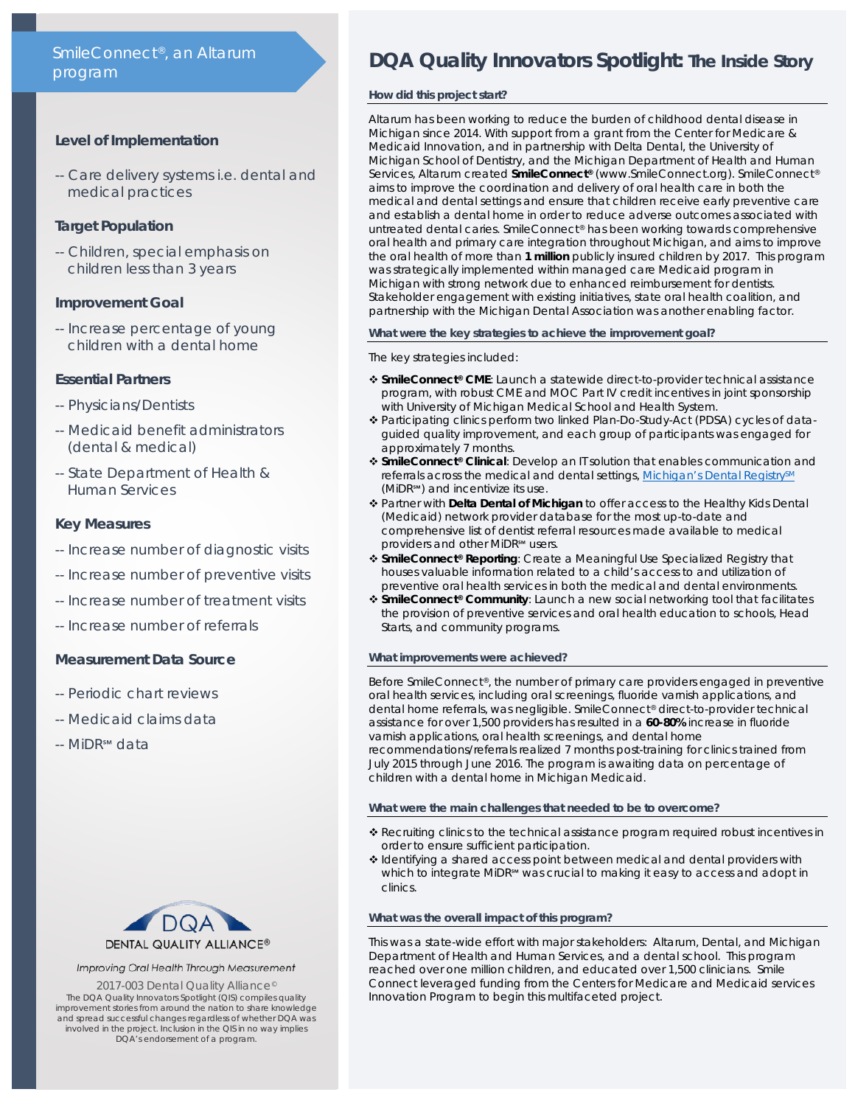# SmileConnect®, an Altarum program

## **Level of Implementation**

-- Care delivery systems i.e. dental and medical practices

# **Target Population**

-- Children, special emphasis on children less than 3 years

# **Improvement Goal**

-- Increase percentage of young children with a dental home

# **Essential Partners**

- -- Physicians/Dentists
- -- Medicaid benefit administrators (dental & medical)
- -- State Department of Health & Human Services

# **Key Measures**

- -- Increase number of diagnostic visits
- -- Increase number of preventive visits
- -- Increase number of treatment visits
- -- Increase number of referrals

# **Measurement Data Source**

- -- Periodic chart reviews
- -- Medicaid claims data
- -- MiDR<sup>SM</sup> data



## Improving Oral Health Through Measurement

2017-003 Dental Quality Alliance<sup>®</sup> The *DQA Quality Innovators Spotlight* (QIS) compiles quality improvement stories from around the nation to share knowledge and spread successful changes regardless of whether DQA was involved in the project. Inclusion in the QIS in no way implies DQA's endorsement of a program.

# **DQA Quality Innovators Spotlight:** *The Inside Story*

## **How did this project start?**

Altarum has been working to reduce the burden of childhood dental disease in Michigan since 2014. With support from a grant from the Center for Medicare & Medicaid Innovation, and in partnership with Delta Dental, the University of Michigan School of Dentistry, and the Michigan Department of Health and Human Services, Altarum created **SmileConnect®** (www.SmileConnect.org). SmileConnect® aims to improve the coordination and delivery of oral health care in both the medical and dental settings and ensure that children receive early preventive care and establish a dental home in order to reduce adverse outcomes associated with untreated dental caries. SmileConnect® has been working towards comprehensive oral health and primary care integration throughout Michigan, and aims to improve the oral health of more than **1 million** publicly insured children by 2017. This program was strategically implemented within managed care Medicaid program in Michigan with strong network due to enhanced reimbursement for dentists. Stakeholder engagement with existing initiatives, state oral health coalition, and partnership with the Michigan Dental Association was another enabling factor.

## **What were the key strategies to achieve the improvement goal?**

## The key strategies included:

- **SmileConnect® CME**: Launch a statewide direct-to-provider technical assistance program, with robust CME and MOC Part IV credit incentives in joint sponsorship with University of Michigan Medical School and Health System.
- Participating clinics perform two linked Plan-Do-Study-Act (PDSA) cycles of dataguided quality improvement, and each group of participants was engaged for approximately 7 months.
- **SmileConnect® Clinical**: Develop an IT solution that enables communication and referrals across the medical and dental settings, Michigan's Dental Registry<sup>SM</sup> (MiDR℠) and incentivize its use.
- Partner with **Delta Dental of Michigan** to offer access to the Healthy Kids Dental (Medicaid) network provider database for the most up-to-date and comprehensive list of dentist referral resources made available to medical providers and other MiDR<sup>5M</sup> users.
- **SmileConnect® Reporting**: Create a Meaningful Use Specialized Registry that houses valuable information related to a child's access to and utilization of preventive oral health services in both the medical and dental environments.
- **SmileConnect® Community**: Launch a new social networking tool that facilitates the provision of preventive services and oral health education to schools, Head Starts, and community programs.

## **What improvements were achieved?**

Before SmileConnect®, the number of primary care providers engaged in preventive oral health services, including oral screenings, fluoride varnish applications, and dental home referrals, was negligible. SmileConnect® direct-to-provider technical assistance for over 1,500 providers has resulted in a **60-80%** increase in fluoride varnish applications, oral health screenings, and dental home recommendations/referrals realized 7 months post-training for clinics trained from July 2015 through June 2016. The program is awaiting data on percentage of children with a dental home in Michigan Medicaid.

## **What were the main challenges that needed to be to overcome?**

- Recruiting clinics to the technical assistance program required robust incentives in order to ensure sufficient participation.
- Identifying a shared access point between medical and dental providers with which to integrate MiDR<sup>sm</sup> was crucial to making it easy to access and adopt in clinics.

## **What was the overall impact of this program?**

This was a state-wide effort with major stakeholders: Altarum, Dental, and Michigan Department of Health and Human Services, and a dental school. This program reached over one million children, and educated over 1,500 clinicians. Smile Connect leveraged funding from the Centers for Medicare and Medicaid services Innovation Program to begin this multifaceted project.